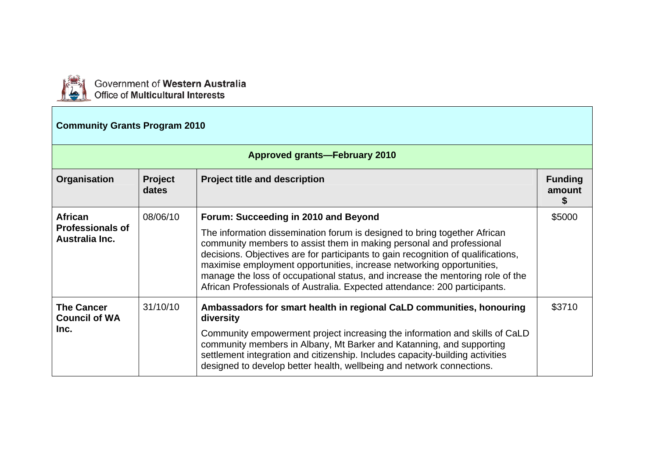

Government of Western Australia<br>Office of Multicultural Interests

## **Community Grants Program 2010**

|                                                   | <b>Approved grants-February 2010</b> |                                                                                                                                                                                                                                                                                                                                                                                                                                                                                 |                          |  |
|---------------------------------------------------|--------------------------------------|---------------------------------------------------------------------------------------------------------------------------------------------------------------------------------------------------------------------------------------------------------------------------------------------------------------------------------------------------------------------------------------------------------------------------------------------------------------------------------|--------------------------|--|
| Organisation                                      | <b>Project</b><br>dates              | <b>Project title and description</b>                                                                                                                                                                                                                                                                                                                                                                                                                                            | <b>Funding</b><br>amount |  |
| <b>African</b>                                    | 08/06/10                             | Forum: Succeeding in 2010 and Beyond                                                                                                                                                                                                                                                                                                                                                                                                                                            | \$5000                   |  |
| <b>Professionals of</b><br>Australia Inc.         |                                      | The information dissemination forum is designed to bring together African<br>community members to assist them in making personal and professional<br>decisions. Objectives are for participants to gain recognition of qualifications,<br>maximise employment opportunities, increase networking opportunities,<br>manage the loss of occupational status, and increase the mentoring role of the<br>African Professionals of Australia. Expected attendance: 200 participants. |                          |  |
| <b>The Cancer</b><br><b>Council of WA</b><br>Inc. | 31/10/10                             | Ambassadors for smart health in regional CaLD communities, honouring<br>diversity                                                                                                                                                                                                                                                                                                                                                                                               | \$3710                   |  |
|                                                   |                                      | Community empowerment project increasing the information and skills of CaLD<br>community members in Albany, Mt Barker and Katanning, and supporting<br>settlement integration and citizenship. Includes capacity-building activities<br>designed to develop better health, wellbeing and network connections.                                                                                                                                                                   |                          |  |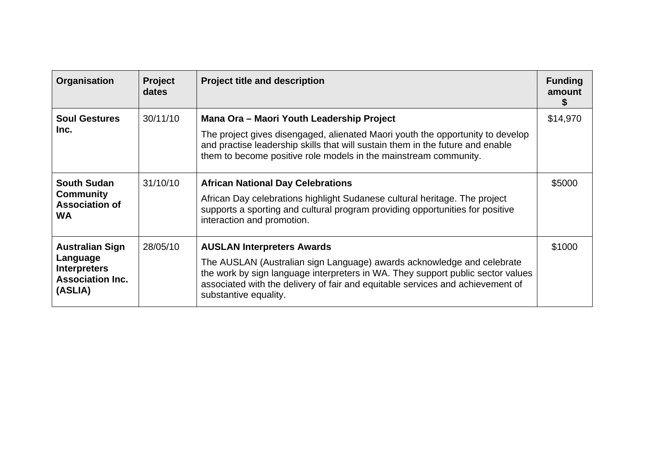| Organisation                                                                                    | <b>Project</b><br>dates | <b>Project title and description</b>                                                                                                                                                                                                                                                                      | <b>Funding</b><br>amount |
|-------------------------------------------------------------------------------------------------|-------------------------|-----------------------------------------------------------------------------------------------------------------------------------------------------------------------------------------------------------------------------------------------------------------------------------------------------------|--------------------------|
| <b>Soul Gestures</b><br>Inc.                                                                    | 30/11/10                | Mana Ora - Maori Youth Leadership Project<br>The project gives disengaged, alienated Maori youth the opportunity to develop<br>and practise leadership skills that will sustain them in the future and enable<br>them to become positive role models in the mainstream community.                         | \$14,970                 |
| <b>South Sudan</b><br><b>Community</b><br><b>Association of</b><br><b>WA</b>                    | 31/10/10                | <b>African National Day Celebrations</b><br>African Day celebrations highlight Sudanese cultural heritage. The project<br>supports a sporting and cultural program providing opportunities for positive<br>interaction and promotion.                                                                     | \$5000                   |
| <b>Australian Sign</b><br>Language<br><b>Interpreters</b><br><b>Association Inc.</b><br>(ASLIA) | 28/05/10                | <b>AUSLAN Interpreters Awards</b><br>The AUSLAN (Australian sign Language) awards acknowledge and celebrate<br>the work by sign language interpreters in WA. They support public sector values<br>associated with the delivery of fair and equitable services and achievement of<br>substantive equality. | \$1000                   |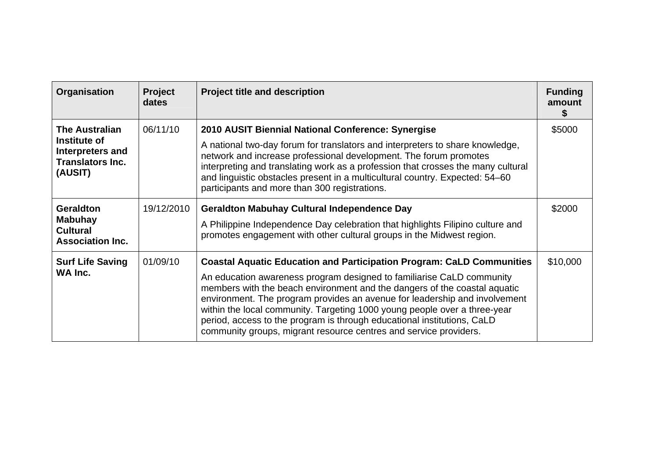| Organisation                                                                                    | <b>Project</b><br>dates | <b>Project title and description</b>                                                                                                                                                                                                                                                                                                                                                                                                                                                                                                          | <b>Funding</b><br>amount |
|-------------------------------------------------------------------------------------------------|-------------------------|-----------------------------------------------------------------------------------------------------------------------------------------------------------------------------------------------------------------------------------------------------------------------------------------------------------------------------------------------------------------------------------------------------------------------------------------------------------------------------------------------------------------------------------------------|--------------------------|
| <b>The Australian</b><br>Institute of<br>Interpreters and<br><b>Translators Inc.</b><br>(AUSIT) | 06/11/10                | 2010 AUSIT Biennial National Conference: Synergise<br>A national two-day forum for translators and interpreters to share knowledge,<br>network and increase professional development. The forum promotes<br>interpreting and translating work as a profession that crosses the many cultural<br>and linguistic obstacles present in a multicultural country. Expected: 54–60<br>participants and more than 300 registrations.                                                                                                                 | \$5000                   |
| <b>Geraldton</b><br><b>Mabuhay</b><br><b>Cultural</b><br><b>Association Inc.</b>                | 19/12/2010              | <b>Geraldton Mabuhay Cultural Independence Day</b><br>A Philippine Independence Day celebration that highlights Filipino culture and<br>promotes engagement with other cultural groups in the Midwest region.                                                                                                                                                                                                                                                                                                                                 | \$2000                   |
| <b>Surf Life Saving</b><br>WA Inc.                                                              | 01/09/10                | <b>Coastal Aquatic Education and Participation Program: CaLD Communities</b><br>An education awareness program designed to familiarise CaLD community<br>members with the beach environment and the dangers of the coastal aquatic<br>environment. The program provides an avenue for leadership and involvement<br>within the local community. Targeting 1000 young people over a three-year<br>period, access to the program is through educational institutions, CaLD<br>community groups, migrant resource centres and service providers. | \$10,000                 |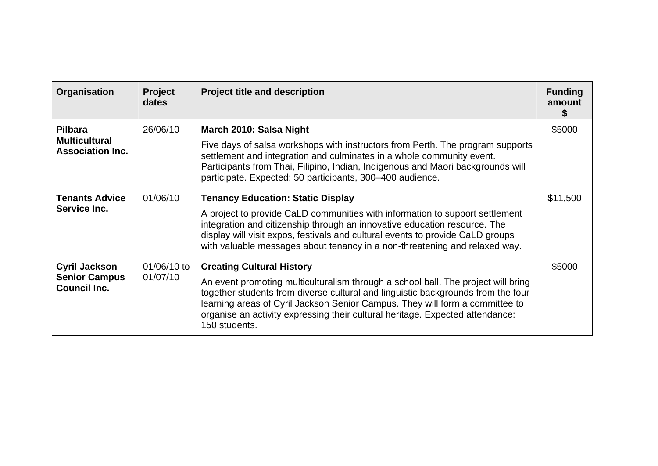| Organisation                                                        | <b>Project</b><br>dates | <b>Project title and description</b>                                                                                                                                                                                                                                                                                                                                                        | <b>Funding</b><br>amount |
|---------------------------------------------------------------------|-------------------------|---------------------------------------------------------------------------------------------------------------------------------------------------------------------------------------------------------------------------------------------------------------------------------------------------------------------------------------------------------------------------------------------|--------------------------|
| <b>Pilbara</b><br><b>Multicultural</b><br><b>Association Inc.</b>   | 26/06/10                | March 2010: Salsa Night<br>Five days of salsa workshops with instructors from Perth. The program supports<br>settlement and integration and culminates in a whole community event.<br>Participants from Thai, Filipino, Indian, Indigenous and Maori backgrounds will<br>participate. Expected: 50 participants, 300-400 audience.                                                          | \$5000                   |
| <b>Tenants Advice</b><br>Service Inc.                               | 01/06/10                | <b>Tenancy Education: Static Display</b><br>A project to provide CaLD communities with information to support settlement<br>integration and citizenship through an innovative education resource. The<br>display will visit expos, festivals and cultural events to provide CaLD groups<br>with valuable messages about tenancy in a non-threatening and relaxed way.                       | \$11,500                 |
| <b>Cyril Jackson</b><br><b>Senior Campus</b><br><b>Council Inc.</b> | 01/06/10 to<br>01/07/10 | <b>Creating Cultural History</b><br>An event promoting multiculturalism through a school ball. The project will bring<br>together students from diverse cultural and linguistic backgrounds from the four<br>learning areas of Cyril Jackson Senior Campus. They will form a committee to<br>organise an activity expressing their cultural heritage. Expected attendance:<br>150 students. | \$5000                   |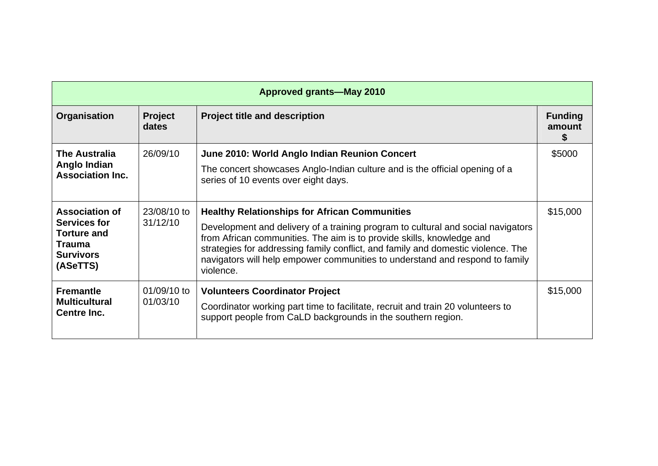| <b>Approved grants-May 2010</b>                                                                              |                         |                                                                                                                                                                                                                                                                                                                                                                                                    |                          |
|--------------------------------------------------------------------------------------------------------------|-------------------------|----------------------------------------------------------------------------------------------------------------------------------------------------------------------------------------------------------------------------------------------------------------------------------------------------------------------------------------------------------------------------------------------------|--------------------------|
| Organisation                                                                                                 | Project<br>dates        | <b>Project title and description</b>                                                                                                                                                                                                                                                                                                                                                               | <b>Funding</b><br>amount |
| <b>The Australia</b><br>Anglo Indian<br><b>Association Inc.</b>                                              | 26/09/10                | June 2010: World Anglo Indian Reunion Concert<br>The concert showcases Anglo-Indian culture and is the official opening of a<br>series of 10 events over eight days.                                                                                                                                                                                                                               | \$5000                   |
| <b>Association of</b><br>Services for<br><b>Torture and</b><br><b>Trauma</b><br><b>Survivors</b><br>(ASeTTS) | 23/08/10 to<br>31/12/10 | <b>Healthy Relationships for African Communities</b><br>Development and delivery of a training program to cultural and social navigators<br>from African communities. The aim is to provide skills, knowledge and<br>strategies for addressing family conflict, and family and domestic violence. The<br>navigators will help empower communities to understand and respond to family<br>violence. | \$15,000                 |
| <b>Fremantle</b><br><b>Multicultural</b><br><b>Centre Inc.</b>                                               | 01/09/10 to<br>01/03/10 | <b>Volunteers Coordinator Project</b><br>Coordinator working part time to facilitate, recruit and train 20 volunteers to<br>support people from CaLD backgrounds in the southern region.                                                                                                                                                                                                           | \$15,000                 |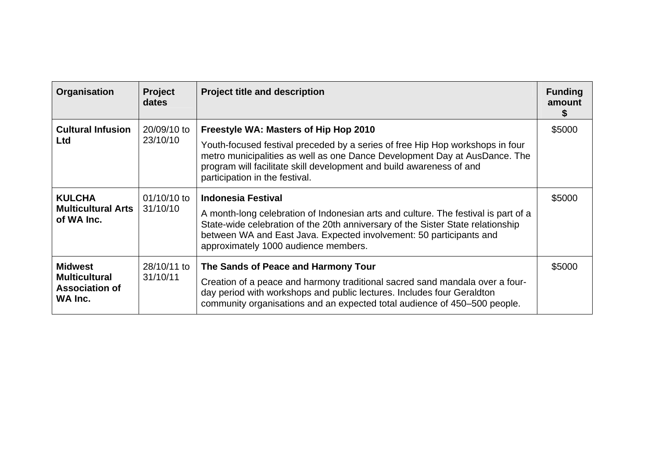| Organisation                                                               | <b>Project</b><br>dates | <b>Project title and description</b>                                                                                                                                                                                                                                                                              | <b>Funding</b><br>amount |
|----------------------------------------------------------------------------|-------------------------|-------------------------------------------------------------------------------------------------------------------------------------------------------------------------------------------------------------------------------------------------------------------------------------------------------------------|--------------------------|
| <b>Cultural Infusion</b><br><b>Ltd</b>                                     | 20/09/10 to<br>23/10/10 | Freestyle WA: Masters of Hip Hop 2010<br>Youth-focused festival preceded by a series of free Hip Hop workshops in four<br>metro municipalities as well as one Dance Development Day at AusDance. The<br>program will facilitate skill development and build awareness of and<br>participation in the festival.    | \$5000                   |
| <b>KULCHA</b><br><b>Multicultural Arts</b><br>of WA Inc.                   | 01/10/10 to<br>31/10/10 | <b>Indonesia Festival</b><br>A month-long celebration of Indonesian arts and culture. The festival is part of a<br>State-wide celebration of the 20th anniversary of the Sister State relationship<br>between WA and East Java. Expected involvement: 50 participants and<br>approximately 1000 audience members. | \$5000                   |
| <b>Midwest</b><br><b>Multicultural</b><br><b>Association of</b><br>WA Inc. | 28/10/11 to<br>31/10/11 | The Sands of Peace and Harmony Tour<br>Creation of a peace and harmony traditional sacred sand mandala over a four-<br>day period with workshops and public lectures. Includes four Geraldton<br>community organisations and an expected total audience of 450-500 people.                                        | \$5000                   |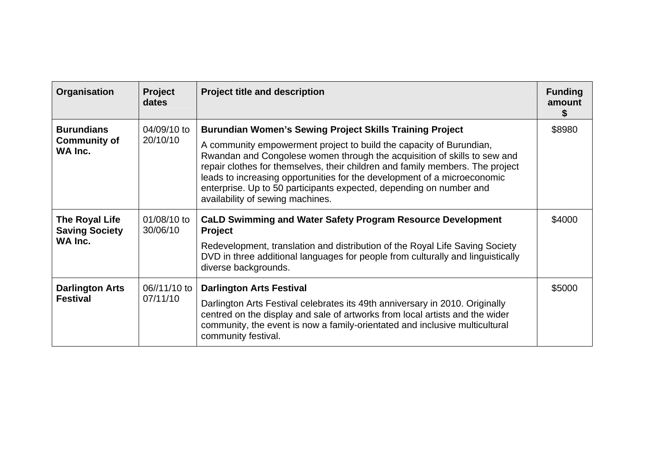| Organisation                                        | <b>Project</b><br>dates  | <b>Project title and description</b>                                                                                                                                                                                                                                                                                                                                                                                                                                                       | <b>Funding</b><br>amount |
|-----------------------------------------------------|--------------------------|--------------------------------------------------------------------------------------------------------------------------------------------------------------------------------------------------------------------------------------------------------------------------------------------------------------------------------------------------------------------------------------------------------------------------------------------------------------------------------------------|--------------------------|
| <b>Burundians</b><br><b>Community of</b><br>WA Inc. | 04/09/10 to<br>20/10/10  | <b>Burundian Women's Sewing Project Skills Training Project</b><br>A community empowerment project to build the capacity of Burundian,<br>Rwandan and Congolese women through the acquisition of skills to sew and<br>repair clothes for themselves, their children and family members. The project<br>leads to increasing opportunities for the development of a microeconomic<br>enterprise. Up to 50 participants expected, depending on number and<br>availability of sewing machines. | \$8980                   |
| The Royal Life<br><b>Saving Society</b><br>WA Inc.  | 01/08/10 to<br>30/06/10  | <b>CaLD Swimming and Water Safety Program Resource Development</b><br><b>Project</b><br>Redevelopment, translation and distribution of the Royal Life Saving Society<br>DVD in three additional languages for people from culturally and linguistically<br>diverse backgrounds.                                                                                                                                                                                                            | \$4000                   |
| <b>Darlington Arts</b><br><b>Festival</b>           | 06//11/10 to<br>07/11/10 | <b>Darlington Arts Festival</b><br>Darlington Arts Festival celebrates its 49th anniversary in 2010. Originally<br>centred on the display and sale of artworks from local artists and the wider<br>community, the event is now a family-orientated and inclusive multicultural<br>community festival.                                                                                                                                                                                      | \$5000                   |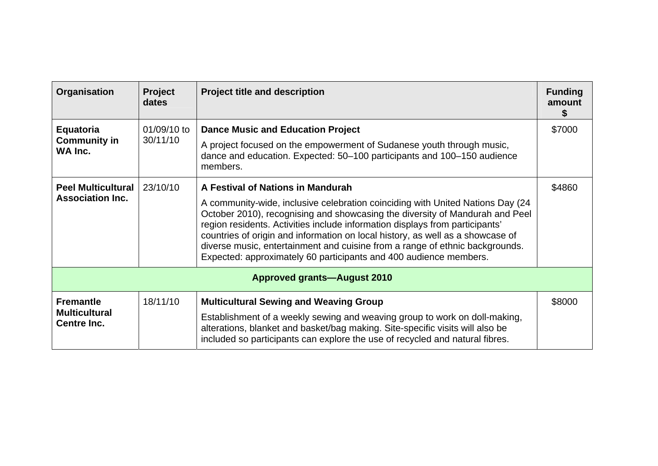| Organisation                                            | <b>Project</b><br>dates | <b>Project title and description</b>                                                                                                                                                                                                                                                                                                                                                                                                                                                  | <b>Funding</b><br>amount |
|---------------------------------------------------------|-------------------------|---------------------------------------------------------------------------------------------------------------------------------------------------------------------------------------------------------------------------------------------------------------------------------------------------------------------------------------------------------------------------------------------------------------------------------------------------------------------------------------|--------------------------|
| Equatoria<br><b>Community in</b><br>WA Inc.             | 01/09/10 to<br>30/11/10 | <b>Dance Music and Education Project</b><br>A project focused on the empowerment of Sudanese youth through music,<br>dance and education. Expected: 50–100 participants and 100–150 audience                                                                                                                                                                                                                                                                                          | \$7000                   |
| <b>Peel Multicultural</b>                               | 23/10/10                | members.<br>A Festival of Nations in Mandurah                                                                                                                                                                                                                                                                                                                                                                                                                                         | \$4860                   |
| <b>Association Inc.</b>                                 |                         | A community-wide, inclusive celebration coinciding with United Nations Day (24<br>October 2010), recognising and showcasing the diversity of Mandurah and Peel<br>region residents. Activities include information displays from participants'<br>countries of origin and information on local history, as well as a showcase of<br>diverse music, entertainment and cuisine from a range of ethnic backgrounds.<br>Expected: approximately 60 participants and 400 audience members. |                          |
|                                                         |                         | <b>Approved grants-August 2010</b>                                                                                                                                                                                                                                                                                                                                                                                                                                                    |                          |
| <b>Fremantle</b><br><b>Multicultural</b><br>Centre Inc. | 18/11/10                | <b>Multicultural Sewing and Weaving Group</b><br>Establishment of a weekly sewing and weaving group to work on doll-making,<br>alterations, blanket and basket/bag making. Site-specific visits will also be<br>included so participants can explore the use of recycled and natural fibres.                                                                                                                                                                                          | \$8000                   |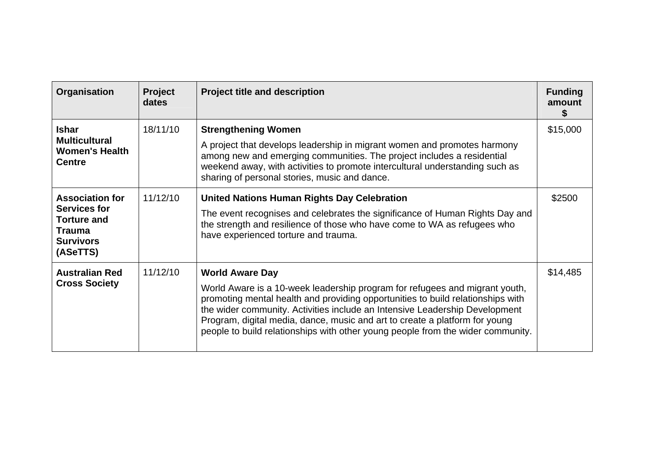| Organisation                                                                                                  | <b>Project</b><br>dates | <b>Project title and description</b>                                                                                                                                                                                                                                                                                                                                                                                                      | <b>Funding</b><br>amount |
|---------------------------------------------------------------------------------------------------------------|-------------------------|-------------------------------------------------------------------------------------------------------------------------------------------------------------------------------------------------------------------------------------------------------------------------------------------------------------------------------------------------------------------------------------------------------------------------------------------|--------------------------|
| <b>Ishar</b><br><b>Multicultural</b><br><b>Women's Health</b><br><b>Centre</b>                                | 18/11/10                | <b>Strengthening Women</b><br>A project that develops leadership in migrant women and promotes harmony<br>among new and emerging communities. The project includes a residential<br>weekend away, with activities to promote intercultural understanding such as<br>sharing of personal stories, music and dance.                                                                                                                         | \$15,000                 |
| <b>Association for</b><br>Services for<br><b>Torture and</b><br><b>Trauma</b><br><b>Survivors</b><br>(ASeTTS) | 11/12/10                | <b>United Nations Human Rights Day Celebration</b><br>The event recognises and celebrates the significance of Human Rights Day and<br>the strength and resilience of those who have come to WA as refugees who<br>have experienced torture and trauma.                                                                                                                                                                                    | \$2500                   |
| <b>Australian Red</b><br><b>Cross Society</b>                                                                 | 11/12/10                | <b>World Aware Day</b><br>World Aware is a 10-week leadership program for refugees and migrant youth,<br>promoting mental health and providing opportunities to build relationships with<br>the wider community. Activities include an Intensive Leadership Development<br>Program, digital media, dance, music and art to create a platform for young<br>people to build relationships with other young people from the wider community. | \$14,485                 |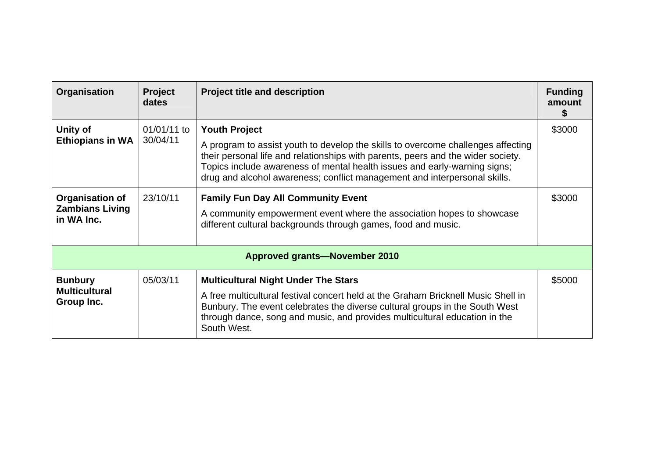| Organisation                                            | <b>Project</b><br>dates | <b>Project title and description</b>                                                                                                                                                                                                                                                                                                                   | <b>Funding</b><br>amount |
|---------------------------------------------------------|-------------------------|--------------------------------------------------------------------------------------------------------------------------------------------------------------------------------------------------------------------------------------------------------------------------------------------------------------------------------------------------------|--------------------------|
| Unity of<br><b>Ethiopians in WA</b>                     | 01/01/11 to<br>30/04/11 | <b>Youth Project</b><br>A program to assist youth to develop the skills to overcome challenges affecting<br>their personal life and relationships with parents, peers and the wider society.<br>Topics include awareness of mental health issues and early-warning signs;<br>drug and alcohol awareness; conflict management and interpersonal skills. | \$3000                   |
| Organisation of<br><b>Zambians Living</b><br>in WA Inc. | 23/10/11                | <b>Family Fun Day All Community Event</b><br>A community empowerment event where the association hopes to showcase<br>different cultural backgrounds through games, food and music.                                                                                                                                                                    | \$3000                   |
|                                                         |                         | <b>Approved grants-November 2010</b>                                                                                                                                                                                                                                                                                                                   |                          |
| <b>Bunbury</b><br><b>Multicultural</b><br>Group Inc.    | 05/03/11                | <b>Multicultural Night Under The Stars</b><br>A free multicultural festival concert held at the Graham Bricknell Music Shell in<br>Bunbury. The event celebrates the diverse cultural groups in the South West<br>through dance, song and music, and provides multicultural education in the<br>South West.                                            | \$5000                   |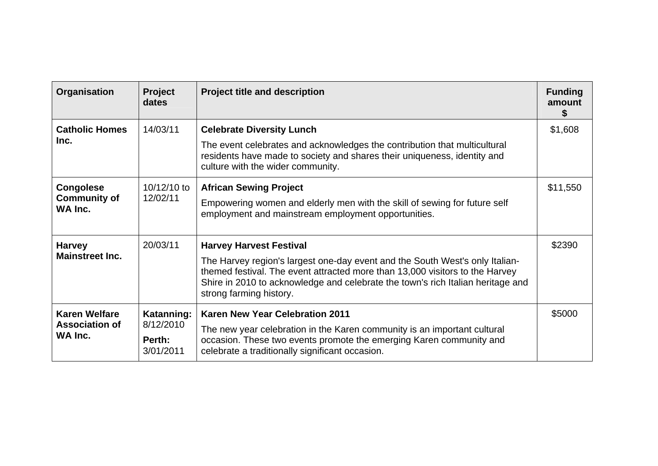| Organisation                                             | <b>Project</b><br>dates                        | <b>Project title and description</b>                                                                                                                                                                                                                                                                         | <b>Funding</b><br>amount |
|----------------------------------------------------------|------------------------------------------------|--------------------------------------------------------------------------------------------------------------------------------------------------------------------------------------------------------------------------------------------------------------------------------------------------------------|--------------------------|
| <b>Catholic Homes</b><br>Inc.                            | 14/03/11                                       | <b>Celebrate Diversity Lunch</b><br>The event celebrates and acknowledges the contribution that multicultural<br>residents have made to society and shares their uniqueness, identity and<br>culture with the wider community.                                                                               | \$1,608                  |
| <b>Congolese</b><br><b>Community of</b><br>WA Inc.       | 10/12/10 to<br>12/02/11                        | <b>African Sewing Project</b><br>Empowering women and elderly men with the skill of sewing for future self<br>employment and mainstream employment opportunities.                                                                                                                                            | \$11,550                 |
| <b>Harvey</b><br><b>Mainstreet Inc.</b>                  | 20/03/11                                       | <b>Harvey Harvest Festival</b><br>The Harvey region's largest one-day event and the South West's only Italian-<br>themed festival. The event attracted more than 13,000 visitors to the Harvey<br>Shire in 2010 to acknowledge and celebrate the town's rich Italian heritage and<br>strong farming history. | \$2390                   |
| <b>Karen Welfare</b><br><b>Association of</b><br>WA Inc. | Katanning:<br>8/12/2010<br>Perth:<br>3/01/2011 | <b>Karen New Year Celebration 2011</b><br>The new year celebration in the Karen community is an important cultural<br>occasion. These two events promote the emerging Karen community and<br>celebrate a traditionally significant occasion.                                                                 | \$5000                   |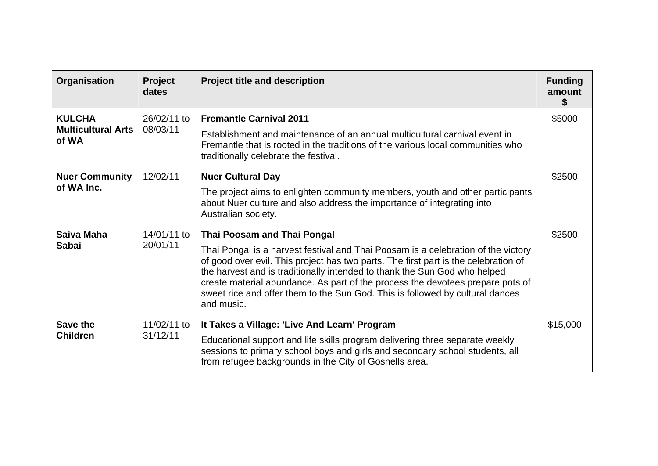| Organisation                               | <b>Project</b><br>dates | <b>Project title and description</b>                                                                                                                                                                                                                                                                                                                                                                                                   | <b>Funding</b><br>amount |
|--------------------------------------------|-------------------------|----------------------------------------------------------------------------------------------------------------------------------------------------------------------------------------------------------------------------------------------------------------------------------------------------------------------------------------------------------------------------------------------------------------------------------------|--------------------------|
| <b>KULCHA</b><br><b>Multicultural Arts</b> | 26/02/11 to<br>08/03/11 | <b>Fremantle Carnival 2011</b><br>Establishment and maintenance of an annual multicultural carnival event in                                                                                                                                                                                                                                                                                                                           | \$5000                   |
| of WA                                      |                         | Fremantle that is rooted in the traditions of the various local communities who<br>traditionally celebrate the festival.                                                                                                                                                                                                                                                                                                               |                          |
| <b>Nuer Community</b>                      | 12/02/11                | <b>Nuer Cultural Day</b>                                                                                                                                                                                                                                                                                                                                                                                                               | \$2500                   |
| of WA Inc.                                 |                         | The project aims to enlighten community members, youth and other participants<br>about Nuer culture and also address the importance of integrating into<br>Australian society.                                                                                                                                                                                                                                                         |                          |
| Saiva Maha                                 | 14/01/11 to             | Thai Poosam and Thai Pongal                                                                                                                                                                                                                                                                                                                                                                                                            | \$2500                   |
| <b>Sabai</b>                               | 20/01/11                | Thai Pongal is a harvest festival and Thai Poosam is a celebration of the victory<br>of good over evil. This project has two parts. The first part is the celebration of<br>the harvest and is traditionally intended to thank the Sun God who helped<br>create material abundance. As part of the process the devotees prepare pots of<br>sweet rice and offer them to the Sun God. This is followed by cultural dances<br>and music. |                          |
| Save the                                   | 11/02/11 to             | It Takes a Village: 'Live And Learn' Program                                                                                                                                                                                                                                                                                                                                                                                           | \$15,000                 |
| <b>Children</b>                            | 31/12/11                | Educational support and life skills program delivering three separate weekly<br>sessions to primary school boys and girls and secondary school students, all<br>from refugee backgrounds in the City of Gosnells area.                                                                                                                                                                                                                 |                          |